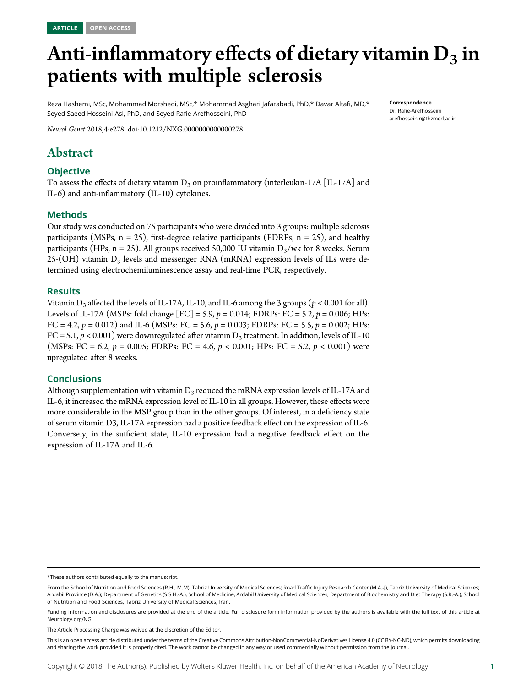# Anti-inflammatory effects of dietary vitamin  $D_3$  in patients with multiple sclerosis

Reza Hashemi, MSc, Mohammad Morshedi, MSc,\* Mohammad Asghari Jafarabadi, PhD,\* Davar Altafi, MD,\* Seyed Saeed Hosseini-Asl, PhD, and Seyed Rafie-Arefhosseini, PhD

Correspondence Dr. Rafie-Arefhosseini [arefhosseinir@tbzmed.ac.ir](mailto:arefhosseinir@tbzmed.ac.ir)

Neurol Genet 2018;4:e278. doi:[10.1212/NXG.0000000000000278](http://dx.doi.org/10.1212/NXG.0000000000000278)

# Abstract

# **Objective**

To assess the effects of dietary vitamin  $D_3$  on proinflammatory (interleukin-17A [IL-17A] and IL-6) and anti-inflammatory (IL-10) cytokines.

# Methods

Our study was conducted on 75 participants who were divided into 3 groups: multiple sclerosis participants (MSPs,  $n = 25$ ), first-degree relative participants (FDRPs,  $n = 25$ ), and healthy participants (HPs, n = 25). All groups received 50,000 IU vitamin  $D_3/wk$  for 8 weeks. Serum 25-(OH) vitamin  $D_3$  levels and messenger RNA (mRNA) expression levels of ILs were determined using electrochemiluminescence assay and real-time PCR, respectively.

## Results

Vitamin D<sub>3</sub> affected the levels of IL-17A, IL-10, and IL-6 among the 3 groups ( $p < 0.001$  for all). Levels of IL-17A (MSPs: fold change  $[FC] = 5.9$ ,  $p = 0.014$ ; FDRPs: FC = 5.2,  $p = 0.006$ ; HPs: FC = 4.2,  $p = 0.012$ ) and IL-6 (MSPs: FC = 5.6,  $p = 0.003$ ; FDRPs: FC = 5.5,  $p = 0.002$ ; HPs:  $FC = 5.1, p < 0.001$ ) were downregulated after vitamin  $D_3$  treatment. In addition, levels of IL-10 (MSPs: FC = 6.2,  $p = 0.005$ ; FDRPs: FC = 4.6,  $p < 0.001$ ; HPs: FC = 5.2,  $p < 0.001$ ) were upregulated after 8 weeks.

## Conclusions

Although supplementation with vitamin  $D_3$  reduced the mRNA expression levels of IL-17A and IL-6, it increased the mRNA expression level of IL-10 in all groups. However, these effects were more considerable in the MSP group than in the other groups. Of interest, in a deficiency state of serum vitamin D3, IL-17A expression had a positive feedback effect on the expression of IL-6. Conversely, in the sufficient state, IL-10 expression had a negative feedback effect on the expression of IL-17A and IL-6.

<sup>\*</sup>These authors contributed equally to the manuscript.

From the School of Nutrition and Food Sciences (R.H., M.M), Tabriz University of Medical Sciences; Road Traffic Injury Research Center (M.A.-J), Tabriz University of Medical Sciences; Ardabil Province (D.A.); Department of Genetics (S.S.H.-A.), School of Medicine, Ardabil University of Medical Sciences; Department of Biochemistry and Diet Therapy (S.R.-A.), School of Nutrition and Food Sciences, Tabriz University of Medical Sciences, Iran.

Funding information and disclosures are provided at the end of the article. Full disclosure form information provided by the authors is available with the full text of this article at [Neurology.org/NG](http://ng.neurology.org/lookup/doi/10.1212/NXG.0000000000000278).

The Article Processing Charge was waived at the discretion of the Editor.

This is an open access article distributed under the terms of the [Creative Commons Attribution-NonCommercial-NoDerivatives License 4.0 \(CC BY-NC-ND\),](http://creativecommons.org/licenses/by-nc-nd/4.0/) which permits downloading and sharing the work provided it is properly cited. The work cannot be changed in any way or used commercially without permission from the journal.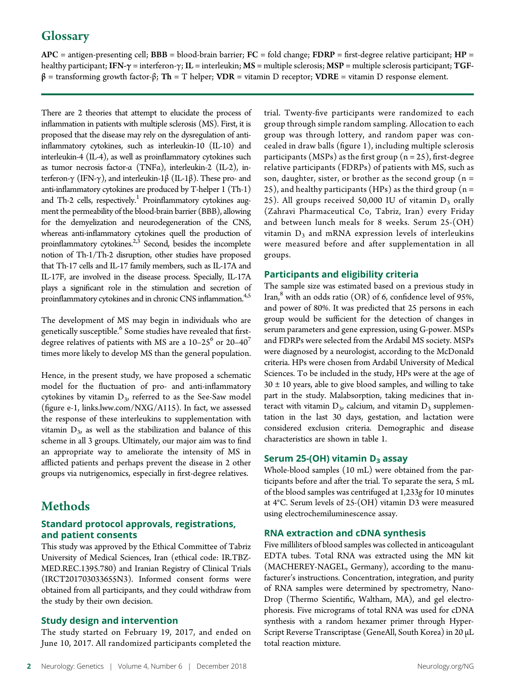# **Glossary**

 $APC =$  antigen-presenting cell;  $BBB =$  blood-brain barrier;  $FC =$  fold change;  $FDRP =$  first-degree relative participant;  $HP =$ healthy participant; IFN- $\gamma$  = interferon- $\gamma$ ; IL = interleukin; MS = multiple sclerosis; MSP = multiple sclerosis participant; TGF $β =$  transforming growth factor- $β$ ; Th = T helper; VDR = vitamin D receptor; VDRE = vitamin D response element.

There are 2 theories that attempt to elucidate the process of inflammation in patients with multiple sclerosis (MS). First, it is proposed that the disease may rely on the dysregulation of antiinflammatory cytokines, such as interleukin-10 (IL-10) and interleukin-4 (IL-4), as well as proinflammatory cytokines such as tumor necrosis factor-α (TNFα), interleukin-2 (IL-2), interferon-γ (IFN-γ), and interleukin-1β (IL-1β). These pro- and anti-inflammatory cytokines are produced by T-helper 1 (Th-1) and Th-2 cells, respectively.<sup>1</sup> Proinflammatory cytokines augment the permeability of the blood-brain barrier (BBB), allowing for the demyelization and neurodegeneration of the CNS, whereas anti-inflammatory cytokines quell the production of proinflammatory cytokines. $2,3$  Second, besides the incomplete notion of Th-1/Th-2 disruption, other studies have proposed that Th-17 cells and IL-17 family members, such as IL-17A and IL-17F, are involved in the disease process. Specially, IL-17A plays a significant role in the stimulation and secretion of proinflammatory cytokines and in chronic CNS inflammation.<sup>4,5</sup>

The development of MS may begin in individuals who are genetically susceptible.<sup>6</sup> Some studies have revealed that firstdegree relatives of patients with MS are a  $10-25^6$  or 20–40<sup>7</sup> times more likely to develop MS than the general population.

Hence, in the present study, we have proposed a schematic model for the fluctuation of pro- and anti-inflammatory cytokines by vitamin  $D_3$ , referred to as the See-Saw model (figure e-1, [links.lww.com/NXG/A115](http://links.lww.com/NXG/A115)). In fact, we assessed the response of these interleukins to supplementation with vitamin  $D_3$ , as well as the stabilization and balance of this scheme in all 3 groups. Ultimately, our major aim was to find an appropriate way to ameliorate the intensity of MS in afflicted patients and perhaps prevent the disease in 2 other groups via nutrigenomics, especially in first-degree relatives.

# Methods

# Standard protocol approvals, registrations, and patient consents

This study was approved by the Ethical Committee of Tabriz University of Medical Sciences, Iran (ethical code: IR.TBZ-MED.REC.1395.780) and Iranian Registry of Clinical Trials (IRCT201703033655N3). Informed consent forms were obtained from all participants, and they could withdraw from the study by their own decision.

# Study design and intervention

The study started on February 19, 2017, and ended on June 10, 2017. All randomized participants completed the trial. Twenty-five participants were randomized to each group through simple random sampling. Allocation to each group was through lottery, and random paper was concealed in draw balls (figure 1), including multiple sclerosis participants (MSPs) as the first group  $(n = 25)$ , first-degree relative participants (FDRPs) of patients with MS, such as son, daughter, sister, or brother as the second group ( $n =$ 25), and healthy participants (HPs) as the third group ( $n =$ 25). All groups received 50,000 IU of vitamin  $D_3$  orally (Zahravi Pharmaceutical Co, Tabriz, Iran) every Friday and between lunch meals for 8 weeks. Serum 25-(OH) vitamin  $D_3$  and mRNA expression levels of interleukins were measured before and after supplementation in all groups.

# Participants and eligibility criteria

The sample size was estimated based on a previous study in Iran, $\delta$  with an odds ratio (OR) of 6, confidence level of 95%, and power of 80%. It was predicted that 25 persons in each group would be sufficient for the detection of changes in serum parameters and gene expression, using G-power. MSPs and FDRPs were selected from the Ardabil MS society. MSPs were diagnosed by a neurologist, according to the McDonald criteria. HPs were chosen from Ardabil University of Medical Sciences. To be included in the study, HPs were at the age of  $30 \pm 10$  years, able to give blood samples, and willing to take part in the study. Malabsorption, taking medicines that interact with vitamin  $D_3$ , calcium, and vitamin  $D_3$  supplementation in the last 30 days, gestation, and lactation were considered exclusion criteria. Demographic and disease characteristics are shown in table 1.

# Serum 25-(OH) vitamin  $D_3$  assay

Whole-blood samples (10 mL) were obtained from the participants before and after the trial. To separate the sera, 5 mL of the blood samples was centrifuged at 1,233g for 10 minutes at 4°C. Serum levels of 25-(OH) vitamin D3 were measured using electrochemiluminescence assay.

# RNA extraction and cDNA synthesis

Five milliliters of blood samples was collected in anticoagulant EDTA tubes. Total RNA was extracted using the MN kit (MACHEREY-NAGEL, Germany), according to the manufacturer's instructions. Concentration, integration, and purity of RNA samples were determined by spectrometry, Nano-Drop (Thermo Scientific, Waltham, MA), and gel electrophoresis. Five micrograms of total RNA was used for cDNA synthesis with a random hexamer primer through Hyper-Script Reverse Transcriptase (GeneAll, South Korea) in 20 μL total reaction mixture.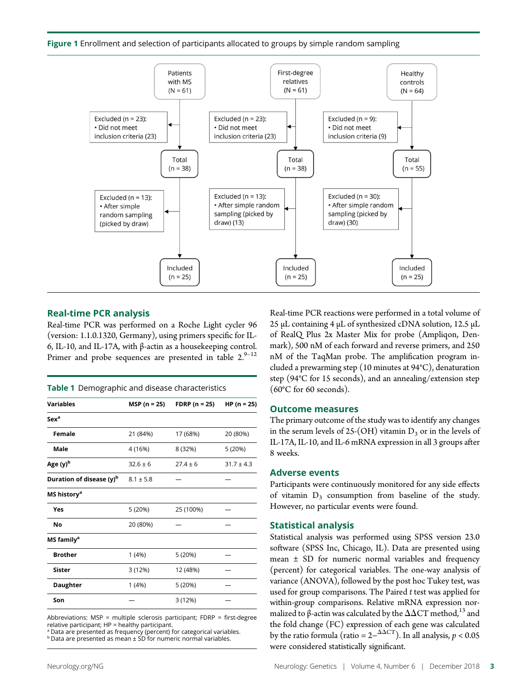Figure 1 Enrollment and selection of participants allocated to groups by simple random sampling



#### Real-time PCR analysis

Real-time PCR was performed on a Roche Light cycler 96 (version: 1.1.0.1320, Germany), using primers specific for IL-6, IL-10, and IL-17A, with β-actin as a housekeeping control. Primer and probe sequences are presented in table  $2.^{9-12}$ 

| <b>Variables</b>            | MSP (n = 25)  | FDRP ( $n = 25$ ) | $HP(n = 25)$   |  |
|-----------------------------|---------------|-------------------|----------------|--|
| Sex <sup>a</sup>            |               |                   |                |  |
| <b>Female</b>               | 21 (84%)      | 17 (68%)          | 20 (80%)       |  |
| Male                        | 4 (16%)       | 8 (32%)           | 5 (20%)        |  |
| Age (y) <sup>b</sup>        | $32.6 \pm 6$  | $27.4 \pm 6$      | $31.7 \pm 4.3$ |  |
| Duration of disease $(y)^b$ | $8.1 \pm 5.8$ |                   |                |  |
| MS history <sup>a</sup>     |               |                   |                |  |
| Yes                         | 5 (20%)       | 25 (100%)         |                |  |
| No                          | 20 (80%)      |                   |                |  |
| MS family <sup>a</sup>      |               |                   |                |  |
| <b>Brother</b>              | 1(4%)         | 5 (20%)           |                |  |
| Sister                      | 3(12%)        | 12 (48%)          |                |  |
| <b>Daughter</b>             | 1(4%)         | 5 (20%)           |                |  |
| Son                         |               | 3(12%)            |                |  |

Abbreviations: MSP = multiple sclerosis participant; FDRP = first-degree  $relative$  participant;  $HP =$  healthy participant.

<sup>a</sup> Data are presented as frequency (percent) for categorical variables.

 $b$  Data are presented as mean  $\pm$  SD for numeric normal variables.

Real-time PCR reactions were performed in a total volume of 25 μL containing 4 μL of synthesized cDNA solution, 12.5 μL of RealQ Plus 2x Master Mix for probe (Ampliqon, Denmark), 500 nM of each forward and reverse primers, and 250 nM of the TaqMan probe. The amplification program included a prewarming step (10 minutes at 94°C), denaturation step (94°C for 15 seconds), and an annealing/extension step (60°C for 60 seconds).

#### Outcome measures

The primary outcome of the study was to identify any changes in the serum levels of 25-(OH) vitamin  $D_3$  or in the levels of IL-17A, IL-10, and IL-6 mRNA expression in all 3 groups after 8 weeks.

#### Adverse events

Participants were continuously monitored for any side effects of vitamin  $D_3$  consumption from baseline of the study. However, no particular events were found.

#### Statistical analysis

Statistical analysis was performed using SPSS version 23.0 software (SPSS Inc, Chicago, IL). Data are presented using mean  $\pm$  SD for numeric normal variables and frequency (percent) for categorical variables. The one-way analysis of variance (ANOVA), followed by the post hoc Tukey test, was used for group comparisons. The Paired  $t$  test was applied for within-group comparisons. Relative mRNA expression normalized to  $\beta$ -actin was calculated by the  $\Delta\Delta CT$  method,<sup>13</sup> and the fold change (FC) expression of each gene was calculated by the ratio formula (ratio =  $2-\frac{\Delta\Delta CT}{T}$ ). In all analysis,  $p < 0.05$ were considered statistically significant.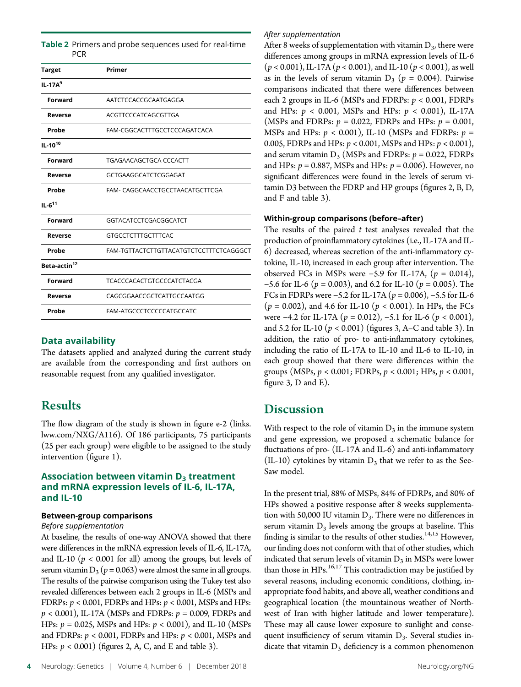| <b>PCR</b>               |                                         |
|--------------------------|-----------------------------------------|
| Target                   | Primer                                  |
| $IL-17A9$                |                                         |
| Forward                  | AATCTCCACCGCAATGAGGA                    |
| Reverse                  | ACGTTCCCATCAGCGTTGA                     |
| Probe                    | FAM-CGGCACTTTGCCTCCCAGATCACA            |
| $IL-10^{10}$             |                                         |
| Forward                  | TGAGAACAGCTGCA CCCACTT                  |
| Reverse                  | GCTGAAGGCATCTCGGAGAT                    |
| Probe                    | FAM- CAGGCAACCTGCCTAACATGCTTCGA         |
| $IL - 611$               |                                         |
| Forward                  | GGTACATCCTCGACGGCATCT                   |
| Reverse                  | <b>GTGCCTCTTTGCTTTCAC</b>               |
| Probe                    | FAM-TGTTACTCTTGTTACATGTCTCCTTTCTCAGGGCT |
| Beta-actin <sup>12</sup> |                                         |
| Forward                  | <b>TCACCCACACTGTGCCCATCTACGA</b>        |
| Reverse                  | CAGCGGAACCGCTCATTGCCAATGG               |
| Probe                    | FAM-ATGCCCTCCCCCATGCCATC                |

Table 2 Primers and probe sequences used for real-time

## Data availability

The datasets applied and analyzed during the current study are available from the corresponding and first authors on reasonable request from any qualified investigator.

# Results

The flow diagram of the study is shown in figure e-2 ([links.](http://links.lww.com/NXG/A116) [lww.com/NXG/A116\)](http://links.lww.com/NXG/A116). Of 186 participants, 75 participants (25 per each group) were eligible to be assigned to the study intervention (figure 1).

## Association between vitamin  $D_3$  treatment and mRNA expression levels of IL-6, IL-17A, and IL-10

#### Between-group comparisons

#### Before supplementation

At baseline, the results of one-way ANOVA showed that there were differences in the mRNA expression levels of IL-6, IL-17A, and IL-10 ( $p < 0.001$  for all) among the groups, but levels of serum vitamin  $D_3$  ( $p = 0.063$ ) were almost the same in all groups. The results of the pairwise comparison using the Tukey test also revealed differences between each 2 groups in IL-6 (MSPs and FDRPs:  $p < 0.001$ , FDRPs and HPs:  $p < 0.001$ , MSPs and HPs:  $p < 0.001$ ), IL-17A (MSPs and FDRPs:  $p = 0.009$ , FDRPs and HPs:  $p = 0.025$ , MSPs and HPs:  $p < 0.001$ ), and IL-10 (MSPs and FDRPs:  $p < 0.001$ , FDRPs and HPs:  $p < 0.001$ , MSPs and HPs:  $p < 0.001$ ) (figures 2, A, C, and E and table 3).

#### After supplementation

After 8 weeks of supplementation with vitamin  $D_3$ , there were differences among groups in mRNA expression levels of IL-6  $(p < 0.001)$ , IL-17A  $(p < 0.001)$ , and IL-10  $(p < 0.001)$ , as well as in the levels of serum vitamin  $D_3$  ( $p = 0.004$ ). Pairwise comparisons indicated that there were differences between each 2 groups in IL-6 (MSPs and FDRPs:  $p < 0.001$ , FDRPs and HPs:  $p < 0.001$ , MSPs and HPs:  $p < 0.001$ ), IL-17A (MSPs and FDRPs:  $p = 0.022$ , FDRPs and HPs:  $p = 0.001$ , MSPs and HPs:  $p < 0.001$ ), IL-10 (MSPs and FDRPs:  $p =$ 0.005, FDRPs and HPs:  $p < 0.001$ , MSPs and HPs:  $p < 0.001$ ), and serum vitamin  $D_3$  (MSPs and FDRPs:  $p = 0.022$ , FDRPs and HPs:  $p = 0.887$ , MSPs and HPs:  $p = 0.006$ ). However, no significant differences were found in the levels of serum vitamin D3 between the FDRP and HP groups (figures 2, B, D, and F and table 3).

#### Within-group comparisons (before–after)

The results of the paired  $t$  test analyses revealed that the production of proinflammatory cytokines (i.e., IL-17A and IL-6) decreased, whereas secretion of the anti-inflammatory cytokine, IL-10, increased in each group after intervention. The observed FCs in MSPs were −5.9 for IL-17A,  $(p = 0.014)$ , −5.6 for IL-6 ( $p = 0.003$ ), and 6.2 for IL-10 ( $p = 0.005$ ). The FCs in FDRPs were −5.2 for IL-17A ( $p = 0.006$ ), −5.5 for IL-6  $(p = 0.002)$ , and 4.6 for IL-10  $(p < 0.001)$ . In HPs, the FCs were  $-4.2$  for IL-17A ( $p = 0.012$ ),  $-5.1$  for IL-6 ( $p < 0.001$ ), and 5.2 for IL-10 ( $p < 0.001$ ) (figures 3, A–C and table 3). In addition, the ratio of pro- to anti-inflammatory cytokines, including the ratio of IL-17A to IL-10 and IL-6 to IL-10, in each group showed that there were differences within the groups (MSPs,  $p < 0.001$ ; FDRPs,  $p < 0.001$ ; HPs,  $p < 0.001$ , figure 3, D and E).

# **Discussion**

With respect to the role of vitamin  $D_3$  in the immune system and gene expression, we proposed a schematic balance for fluctuations of pro- (IL-17A and IL-6) and anti-inflammatory (IL-10) cytokines by vitamin  $D_3$  that we refer to as the See-Saw model.

In the present trial, 88% of MSPs, 84% of FDRPs, and 80% of HPs showed a positive response after 8 weeks supplementation with 50,000 IU vitamin  $D_3$ . There were no differences in serum vitamin  $D_3$  levels among the groups at baseline. This finding is similar to the results of other studies.  $^{14,15}$  However, our finding does not conform with that of other studies, which indicated that serum levels of vitamin  $D_3$  in MSPs were lower than those in  $HPs.$ <sup>16,17</sup> This contradiction may be justified by several reasons, including economic conditions, clothing, inappropriate food habits, and above all, weather conditions and geographical location (the mountainous weather of Northwest of Iran with higher latitude and lower temperature). These may all cause lower exposure to sunlight and consequent insufficiency of serum vitamin  $D_3$ . Several studies indicate that vitamin  $D_3$  deficiency is a common phenomenon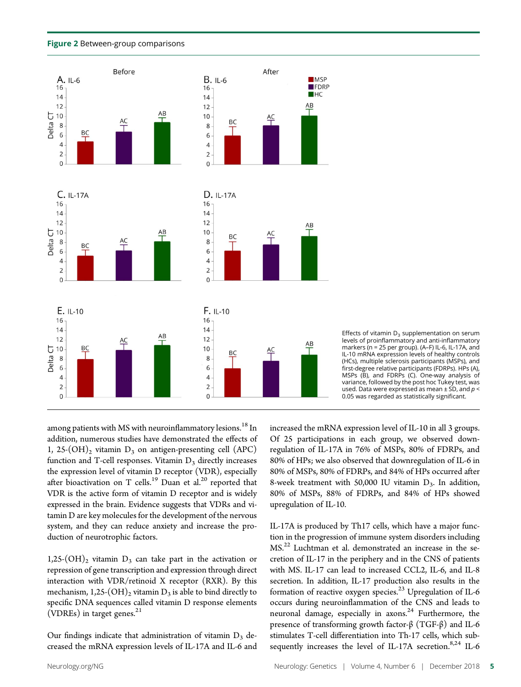



Effects of vitamin  $D_3$  supplementation on serum levels of proinflammatory and anti-inflammatory markers (n = 25 per group). (A–F) IL-6, IL-17A, and IL-10 mRNA expression levels of healthy controls (HCs), multiple sclerosis participants (MSPs), and first-degree relative participants (FDRPs). HPs (A), MSPs (B), and FDRPs (C). One-way analysis of variance, followed by the post hoc Tukey test, was used. Data were expressed as mean  $\pm$  SD, and  $p$  < 0.05 was regarded as statistically significant.

among patients with MS with neuroinflammatory lesions.<sup>18</sup> In addition, numerous studies have demonstrated the effects of 1, 25- $(OH)_2$  vitamin  $D_3$  on antigen-presenting cell (APC) function and T-cell responses. Vitamin  $D_3$  directly increases the expression level of vitamin D receptor (VDR), especially after bioactivation on T cells.<sup>19</sup> Duan et al.<sup>20</sup> reported that VDR is the active form of vitamin D receptor and is widely expressed in the brain. Evidence suggests that VDRs and vitamin D are key molecules for the development of the nervous system, and they can reduce anxiety and increase the production of neurotrophic factors.

1,25- $(OH)_2$  vitamin  $D_3$  can take part in the activation or repression of gene transcription and expression through direct interaction with VDR/retinoid X receptor (RXR). By this mechanism,  $1,25\text{-}(\text{OH})_2$  vitamin  $D_3$  is able to bind directly to specific DNA sequences called vitamin D response elements (VDREs) in target genes.<sup>21</sup>

Our findings indicate that administration of vitamin  $D_3$  decreased the mRNA expression levels of IL-17A and IL-6 and increased the mRNA expression level of IL-10 in all 3 groups. Of 25 participations in each group, we observed downregulation of IL-17A in 76% of MSPs, 80% of FDRPs, and 80% of HPs; we also observed that downregulation of IL-6 in 80% of MSPs, 80% of FDRPs, and 84% of HPs occurred after 8-week treatment with 50,000 IU vitamin  $D_3$ . In addition, 80% of MSPs, 88% of FDRPs, and 84% of HPs showed upregulation of IL-10.

IL-17A is produced by Th17 cells, which have a major function in the progression of immune system disorders including MS.22 Luchtman et al. demonstrated an increase in the secretion of IL-17 in the periphery and in the CNS of patients with MS. IL-17 can lead to increased CCL2, IL-6, and IL-8 secretion. In addition, IL-17 production also results in the formation of reactive oxygen species.<sup>23</sup> Upregulation of IL-6 occurs during neuroinflammation of the CNS and leads to neuronal damage, especially in axons.<sup>24</sup> Furthermore, the presence of transforming growth factor-β (TGF-β) and IL-6 stimulates T-cell differentiation into Th-17 cells, which subsequently increases the level of IL-17A secretion.<sup>8,24</sup> IL-6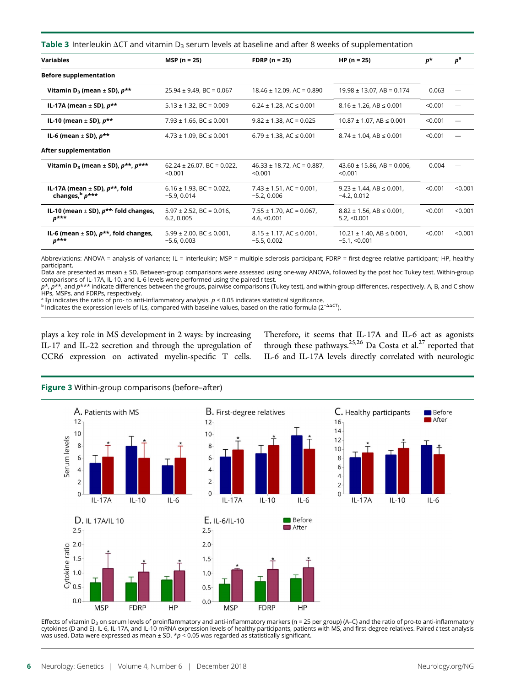Table 3 Interleukin  $\Delta$ CT and vitamin D<sub>3</sub> serum levels at baseline and after 8 weeks of supplementation

| <b>Variables</b>                                                    | $MSP (n = 25)$                                       | <b>FDRP</b> $(n = 25)$                              | $HP(n = 25)$                                               | $p*$    | $p^{\rm a}$ |
|---------------------------------------------------------------------|------------------------------------------------------|-----------------------------------------------------|------------------------------------------------------------|---------|-------------|
| <b>Before supplementation</b>                                       |                                                      |                                                     |                                                            |         |             |
| Vitamin D <sub>3</sub> (mean $\pm$ SD), $p^{**}$                    | $25.94 \pm 9.49$ , BC = 0.067                        | $18.46 \pm 12.09$ , AC = 0.890                      | $19.98 \pm 13.07$ , AB = 0.174                             | 0.063   |             |
| IL-17A (mean $\pm$ SD), $p^{\star\star}$                            | $5.13 \pm 1.32$ , BC = 0.009                         | $6.24 \pm 1.28$ , AC $\leq 0.001$                   | $8.16 \pm 1.26$ , AB $\leq 0.001$                          | < 0.001 |             |
| IL-10 (mean $\pm$ SD), $p^{**}$                                     | 7.93 $\pm$ 1.66, BC $\leq$ 0.001                     | $9.82 \pm 1.38$ , AC = 0.025                        | $10.87 \pm 1.07$ , AB $\leq 0.001$                         | < 0.001 |             |
| IL-6 (mean $\pm$ SD), $p^{\star\star}$                              | $4.73 \pm 1.09$ , BC $\leq 0.001$                    | $6.79 \pm 1.38$ , AC $\leq 0.001$                   | $8.74 \pm 1.04$ , AB $\leq 0.001$                          | < 0.001 |             |
| After supplementation                                               |                                                      |                                                     |                                                            |         |             |
| Vitamin D <sub>3</sub> (mean $\pm$ SD), $p^{**}$ , $p^{***}$        | $62.24 \pm 26.07$ , BC = 0.022,<br>< 0.001           | $46.33 \pm 18.72$ , AC = 0.887,<br>< 0.001          | $43.60 \pm 15.86$ , AB = 0.006,<br>< 0.001                 | 0.004   |             |
| IL-17A (mean $\pm$ SD), $p^{\star\star}$ , fold<br>changes, b p***  | $6.16 \pm 1.93$ , BC = 0.022,<br>$-5.9, 0.014$       | $7.43 \pm 1.51$ , AC = 0.001,<br>$-5.2, 0.006$      | $9.23 \pm 1.44$ , AB $\leq 0.001$ ,<br>$-4.2, 0.012$       | < 0.001 | < 0.001     |
| IL-10 (mean $\pm$ SD), $p^{**}$ fold changes,<br>$p^{***}$          | $5.97 \pm 2.52$ , BC = 0.016,<br>6.2, 0.005          | $7.55 \pm 1.70$ , AC = 0.067,<br>4.6, $< 0.001$     | $8.82 \pm 1.56$ , AB $\leq 0.001$ ,<br>5.2, < 0.001        | < 0.001 | < 0.001     |
| IL-6 (mean $\pm$ SD), $p^{\star\star}$ , fold changes,<br>$p^{***}$ | $5.99 \pm 2.00$ , BC $\leq 0.001$ ,<br>$-5.6, 0.003$ | $8.15 \pm 1.17$ , AC $\leq 0.001$ ,<br>$-5.5.0.002$ | $10.21 \pm 1.40$ , AB $\leq 0.001$ ,<br>$-5.1$ , $< 0.001$ | < 0.001 | < 0.001     |

Abbreviations: ANOVA = analysis of variance; IL = interleukin; MSP = multiple sclerosis participant; FDRP = first-degree relative participant; HP, healthy participant.

Data are presented as mean ± SD. Between-group comparisons were assessed using one-way ANOVA, followed by the post hoc Tukey test. Within-group comparisons of IL-17A, IL-10, and IL-6 levels were performed using the paired t test.

p\*, p\*\*, and p\*\*\* indicate differences between the groups, pairwise comparisons (Tukey test), and within-group differences, respectively. A, B, and C show HPs, MSPs, and FDRPs, respectively.

<sup>a</sup> ‡p indicates the ratio of pro- to anti-inflammatory analysis. p < 0.05 indicates statistical significance.<br><sup>b</sup> Indicates the expression levels of ILs, compared with baseline values, based on the ratio formula (2<sup>−∆∆CT</sup>

plays a key role in MS development in 2 ways: by increasing IL-17 and IL-22 secretion and through the upregulation of CCR6 expression on activated myelin-specific T cells.

Therefore, it seems that IL-17A and IL-6 act as agonists through these pathways.<sup>25,26</sup> Da Costa et al.<sup>27</sup> reported that IL-6 and IL-17A levels directly correlated with neurologic

#### Figure 3 Within-group comparisons (before–after)



Effects of vitamin D<sub>3</sub> on serum levels of proinflammatory and anti-inflammatory markers (n = 25 per group) (A-C) and the ratio of pro-to anti-inflammatory cytokines (D and E). IL-6, IL-17A, and IL-10 mRNA expression levels of healthy participants, patients with MS, and first-degree relatives. Paired t test analysis was used. Data were expressed as mean  $\pm$  SD. \*p < 0.05 was regarded as statistically significant.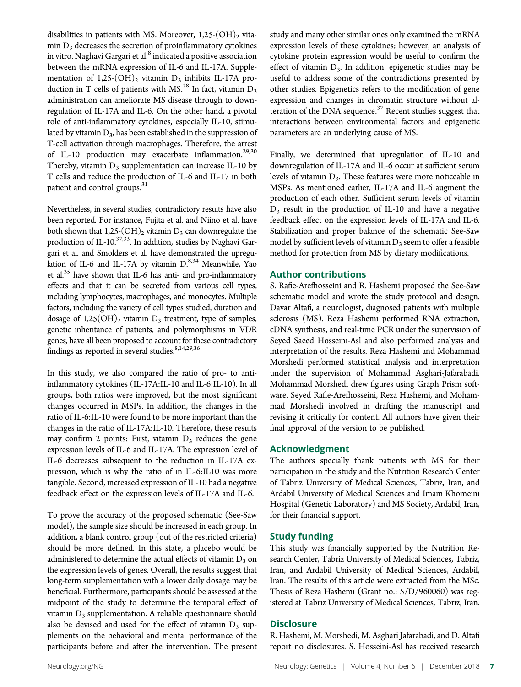disabilities in patients with MS. Moreover,  $1,25\text{-}(OH)_{2}$  vita- $\min D_3$  decreases the secretion of proinflammatory cytokines in vitro. Naghavi Gargari et al.<sup>8</sup> indicated a positive association between the mRNA expression of IL-6 and IL-17A. Supplementation of  $1,25$ - $(OH)_2$  vitamin  $D_3$  inhibits IL-17A production in T cells of patients with MS.<sup>28</sup> In fact, vitamin  $D_3$ administration can ameliorate MS disease through to downregulation of IL-17A and IL-6. On the other hand, a pivotal role of anti-inflammatory cytokines, especially IL-10, stimulated by vitamin  $D_3$ , has been established in the suppression of T-cell activation through macrophages. Therefore, the arrest of IL-10 production may exacerbate inflammation.<sup>29,30</sup> Thereby, vitamin  $D_3$  supplementation can increase IL-10 by T cells and reduce the production of IL-6 and IL-17 in both patient and control groups.<sup>31</sup>

Nevertheless, in several studies, contradictory results have also been reported. For instance, Fujita et al. and Niino et al. have both shown that  $1,25$ - $(OH)_2$  vitamin  $D_3$  can downregulate the production of IL-10.<sup>32,33</sup>. In addition, studies by Naghavi Gargari et al. and Smolders et al. have demonstrated the upregulation of IL-6 and IL-17A by vitamin D.<sup>8,34</sup> Meanwhile, Yao et al. $35$  have shown that IL-6 has anti- and pro-inflammatory effects and that it can be secreted from various cell types, including lymphocytes, macrophages, and monocytes. Multiple factors, including the variety of cell types studied, duration and dosage of  $1,25(OH)_2$  vitamin  $D_3$  treatment, type of samples, genetic inheritance of patients, and polymorphisms in VDR genes, have all been proposed to account for these contradictory findings as reported in several studies. $8,14,29,36$ 

In this study, we also compared the ratio of pro- to antiinflammatory cytokines (IL-17A:IL-10 and IL-6:IL-10). In all groups, both ratios were improved, but the most significant changes occurred in MSPs. In addition, the changes in the ratio of IL-6:IL-10 were found to be more important than the changes in the ratio of IL-17A:IL-10. Therefore, these results may confirm 2 points: First, vitamin  $D_3$  reduces the gene expression levels of IL-6 and IL-17A. The expression level of IL-6 decreases subsequent to the reduction in IL-17A expression, which is why the ratio of in IL-6:IL10 was more tangible. Second, increased expression of IL-10 had a negative feedback effect on the expression levels of IL-17A and IL-6.

To prove the accuracy of the proposed schematic (See-Saw model), the sample size should be increased in each group. In addition, a blank control group (out of the restricted criteria) should be more defined. In this state, a placebo would be administered to determine the actual effects of vitamin  $D_3$  on the expression levels of genes. Overall, the results suggest that long-term supplementation with a lower daily dosage may be beneficial. Furthermore, participants should be assessed at the midpoint of the study to determine the temporal effect of vitamin  $D_3$  supplementation. A reliable questionnaire should also be devised and used for the effect of vitamin  $D_3$  supplements on the behavioral and mental performance of the participants before and after the intervention. The present

study and many other similar ones only examined the mRNA expression levels of these cytokines; however, an analysis of cytokine protein expression would be useful to confirm the effect of vitamin  $D_3$ . In addition, epigenetic studies may be useful to address some of the contradictions presented by other studies. Epigenetics refers to the modification of gene expression and changes in chromatin structure without alteration of the DNA sequence. $37$  Recent studies suggest that interactions between environmental factors and epigenetic parameters are an underlying cause of MS.

Finally, we determined that upregulation of IL-10 and downregulation of IL-17A and IL-6 occur at sufficient serum levels of vitamin  $D_3$ . These features were more noticeable in MSPs. As mentioned earlier, IL-17A and IL-6 augment the production of each other. Sufficient serum levels of vitamin  $D_3$  result in the production of IL-10 and have a negative feedback effect on the expression levels of IL-17A and IL-6. Stabilization and proper balance of the schematic See-Saw model by sufficient levels of vitamin  $D_3$  seem to offer a feasible method for protection from MS by dietary modifications.

#### Author contributions

S. Rafie-Arefhosseini and R. Hashemi proposed the See-Saw schematic model and wrote the study protocol and design. Davar Altafi, a neurologist, diagnosed patients with multiple sclerosis (MS). Reza Hashemi performed RNA extraction, cDNA synthesis, and real-time PCR under the supervision of Seyed Saeed Hosseini-Asl and also performed analysis and interpretation of the results. Reza Hashemi and Mohammad Morshedi performed statistical analysis and interpretation under the supervision of Mohammad Asghari-Jafarabadi. Mohammad Morshedi drew figures using Graph Prism software. Seyed Rafie-Arefhosseini, Reza Hashemi, and Mohammad Morshedi involved in drafting the manuscript and revising it critically for content. All authors have given their final approval of the version to be published.

## Acknowledgment

The authors specially thank patients with MS for their participation in the study and the Nutrition Research Center of Tabriz University of Medical Sciences, Tabriz, Iran, and Ardabil University of Medical Sciences and Imam Khomeini Hospital (Genetic Laboratory) and MS Society, Ardabil, Iran, for their financial support.

#### Study funding

This study was financially supported by the Nutrition Research Center, Tabriz University of Medical Sciences, Tabriz, Iran, and Ardabil University of Medical Sciences, Ardabil, Iran. The results of this article were extracted from the MSc. Thesis of Reza Hashemi (Grant no.: 5/D/960060) was registered at Tabriz University of Medical Sciences, Tabriz, Iran.

#### **Disclosure**

R. Hashemi, M. Morshedi, M. Asghari Jafarabadi, and D. Altafi report no disclosures. S. Hosseini-Asl has received research